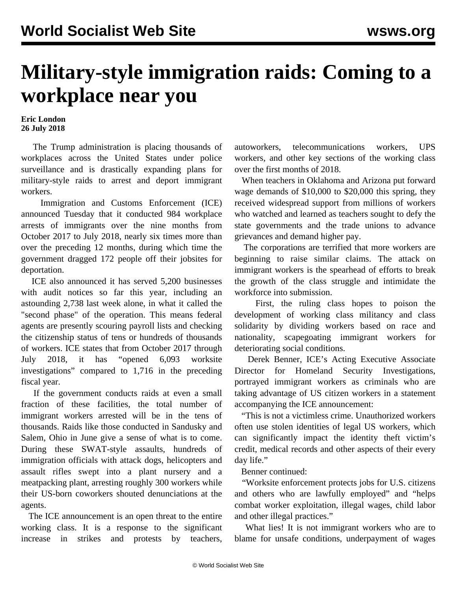## **Military-style immigration raids: Coming to a workplace near you**

## **Eric London 26 July 2018**

 The Trump administration is placing thousands of workplaces across the United States under police surveillance and is drastically expanding plans for military-style raids to arrest and deport immigrant workers.

 Immigration and Customs Enforcement (ICE) announced Tuesday that it conducted 984 workplace arrests of immigrants over the nine months from October 2017 to July 2018, nearly six times more than over the preceding 12 months, during which time the government dragged 172 people off their jobsites for deportation.

 ICE also announced it has served 5,200 businesses with audit notices so far this year, including an astounding 2,738 last week alone, in what it called the "second phase" of the operation. This means federal agents are presently scouring payroll lists and checking the citizenship status of tens or hundreds of thousands of workers. ICE states that from October 2017 through July 2018, it has "opened 6,093 worksite investigations" compared to 1,716 in the preceding fiscal year.

 If the government conducts raids at even a small fraction of these facilities, the total number of immigrant workers arrested will be in the tens of thousands. Raids like those conducted in Sandusky and Salem, Ohio in June give a sense of what is to come. During these SWAT-style assaults, hundreds of immigration officials with attack dogs, helicopters and assault rifles swept into a plant nursery and a meatpacking plant, arresting roughly 300 workers while their US-born coworkers shouted denunciations at the agents.

 The ICE announcement is an open threat to the entire working class. It is a response to the significant increase in strikes and protests by teachers,

autoworkers, telecommunications workers, UPS workers, and other key sections of the working class over the first months of 2018.

 When teachers in Oklahoma and Arizona put forward wage demands of \$10,000 to \$20,000 this spring, they received widespread support from millions of workers who watched and learned as teachers sought to defy the state governments and the trade unions to advance grievances and demand higher pay.

 The corporations are terrified that more workers are beginning to raise similar claims. The attack on immigrant workers is the spearhead of efforts to break the growth of the class struggle and intimidate the workforce into submission.

 First, the ruling class hopes to poison the development of working class militancy and class solidarity by dividing workers based on race and nationality, scapegoating immigrant workers for deteriorating social conditions.

 Derek Benner, ICE's Acting Executive Associate Director for Homeland Security Investigations, portrayed immigrant workers as criminals who are taking advantage of US citizen workers in a statement accompanying the ICE announcement:

 "This is not a victimless crime. Unauthorized workers often use stolen identities of legal US workers, which can significantly impact the identity theft victim's credit, medical records and other aspects of their every day life."

## Benner continued:

 "Worksite enforcement protects jobs for U.S. citizens and others who are lawfully employed" and "helps combat worker exploitation, illegal wages, child labor and other illegal practices."

What lies! It is not immigrant workers who are to blame for unsafe conditions, underpayment of wages